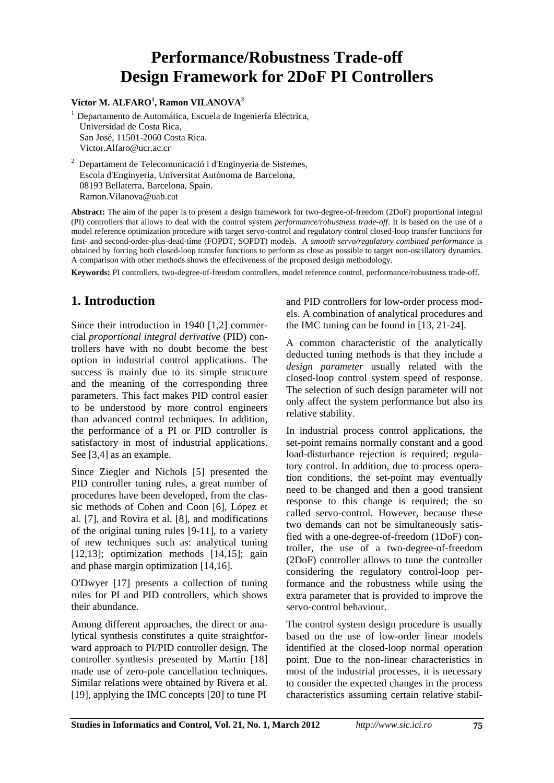# **Performance/Robustness Trade-off Design Framework for 2DoF PI Controllers**

#### **Víctor M. ALFARO<sup>1</sup> , Ramon VILANOVA<sup>2</sup>**

1 Departamento de Automática, Escuela de Ingeniería Eléctrica, Universidad de Costa Rica, San José, 11501-2060 Costa Rica. Victor.Alfaro@ucr.ac.cr

 $2$  Departament de Telecomunicació i d'Enginyeria de Sistemes, Escola d'Enginyeria, Universitat Autònoma de Barcelona, 08193 Bellaterra, Barcelona, Spain. Ramon.Vilanova@uab.cat

**Abstract:** The aim of the paper is to present a design framework for two-degree-of-freedom (2DoF) proportional integral (PI) controllers that allows to deal with the control system *performance/robustness trade-off*. It is based on the use of a model reference optimization procedure with target servo-control and regulatory control closed-loop transfer functions for first- and second-order-plus-dead-time (FOPDT, SOPDT) models. A *smooth servo/regulatory combined performance* is obtained by forcing both closed-loop transfer functions to perform as close as possible to target non-oscillatory dynamics. A comparison with other methods shows the effectiveness of the proposed design methodology.

**Keywords:** PI controllers, two-degree-of-freedom controllers, model reference control, performance/robustness trade-off.

## **1. Introduction**

Since their introduction in 1940 [1,2] commercial *proportional integral derivative* (PID) controllers have with no doubt become the best option in industrial control applications. The success is mainly due to its simple structure and the meaning of the corresponding three parameters. This fact makes PID control easier to be understood by more control engineers than advanced control techniques. In addition, the performance of a PI or PID controller is satisfactory in most of industrial applications. See [3,4] as an example.

Since Ziegler and Nichols [5] presented the PID controller tuning rules, a great number of procedures have been developed, from the classic methods of Cohen and Coon [6], López et al. [7], and Rovira et al. [8], and modifications of the original tuning rules [9-11], to a variety of new techniques such as: analytical tuning [12,13]; optimization methods [14,15]; gain and phase margin optimization [14,16].

O'Dwyer [17] presents a collection of tuning rules for PI and PID controllers, which shows their abundance.

Among different approaches, the direct or analytical synthesis constitutes a quite straightforward approach to PI/PID controller design. The controller synthesis presented by Martin [18] made use of zero-pole cancellation techniques. Similar relations were obtained by Rivera et al. [19], applying the IMC concepts [20] to tune PI

and PID controllers for low-order process models. A combination of analytical procedures and the IMC tuning can be found in [13, 21-24].

A common characteristic of the analytically deducted tuning methods is that they include a *design parameter* usually related with the closed-loop control system speed of response. The selection of such design parameter will not only affect the system performance but also its relative stability.

In industrial process control applications, the set-point remains normally constant and a good load-disturbance rejection is required; regulatory control. In addition, due to process operation conditions, the set-point may eventually need to be changed and then a good transient response to this change is required; the so called servo-control. However, because these two demands can not be simultaneously satisfied with a one-degree-of-freedom (1DoF) controller, the use of a two-degree-of-freedom (2DoF) controller allows to tune the controller considering the regulatory control-loop performance and the robustness while using the extra parameter that is provided to improve the servo-control behaviour.

The control system design procedure is usually based on the use of low-order linear models identified at the closed-loop normal operation point. Due to the non-linear characteristics in most of the industrial processes, it is necessary to consider the expected changes in the process characteristics assuming certain relative stabil-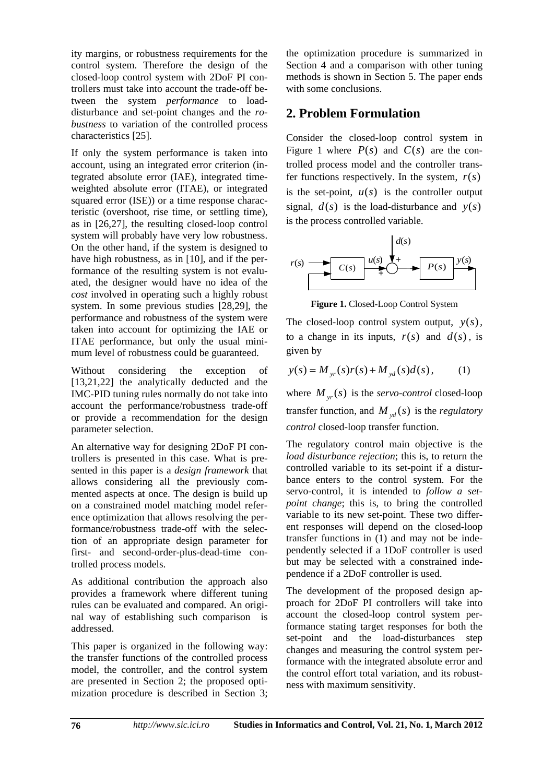ity margins, or robustness requirements for the control system. Therefore the design of the closed-loop control system with 2DoF PI controllers must take into account the trade-off between the system *performance* to loaddisturbance and set-point changes and the *robustness* to variation of the controlled process characteristics [25].

If only the system performance is taken into account, using an integrated error criterion (integrated absolute error (IAE), integrated timeweighted absolute error (ITAE), or integrated squared error (ISE)) or a time response characteristic (overshoot, rise time, or settling time), as in [26,27], the resulting closed-loop control system will probably have very low robustness. On the other hand, if the system is designed to have high robustness, as in [10], and if the performance of the resulting system is not evaluated, the designer would have no idea of the *cost* involved in operating such a highly robust system. In some previous studies [28,29], the performance and robustness of the system were taken into account for optimizing the IAE or ITAE performance, but only the usual minimum level of robustness could be guaranteed.

Without considering the exception of [13,21,22] the analytically deducted and the IMC-PID tuning rules normally do not take into account the performance/robustness trade-off or provide a recommendation for the design parameter selection.

An alternative way for designing 2DoF PI controllers is presented in this case. What is presented in this paper is a *design framework* that allows considering all the previously commented aspects at once. The design is build up on a constrained model matching model reference optimization that allows resolving the performance/robustness trade-off with the selection of an appropriate design parameter for first- and second-order-plus-dead-time controlled process models.

As additional contribution the approach also provides a framework where different tuning rules can be evaluated and compared. An original way of establishing such comparison is addressed.

This paper is organized in the following way: the transfer functions of the controlled process model, the controller, and the control system are presented in Section 2; the proposed optimization procedure is described in Section 3; the optimization procedure is summarized in Section 4 and a comparison with other tuning methods is shown in Section 5. The paper ends with some conclusions.

## **2. Problem Formulation**

Consider the closed-loop control system in Figure 1 where  $P(s)$  and  $C(s)$  are the controlled process model and the controller transfer functions respectively. In the system,  $r(s)$ is the set-point,  $u(s)$  is the controller output signal,  $d(s)$  is the load-disturbance and  $y(s)$ is the process controlled variable.



**Figure 1.** Closed-Loop Control System

The closed-loop control system output,  $y(s)$ , to a change in its inputs,  $r(s)$  and  $d(s)$ , is given by

$$
y(s) = M_{yr}(s)r(s) + M_{yd}(s)d(s)
$$
, (1)

where  $M_{yr}(s)$  is the *servo-control* closed-loop transfer function, and  $M_{\nu d}(s)$  is the *regulatory control* closed-loop transfer function.

The regulatory control main objective is the *load disturbance rejection*; this is, to return the controlled variable to its set-point if a disturbance enters to the control system. For the servo-control, it is intended to *follow a setpoint change*; this is, to bring the controlled variable to its new set-point. These two different responses will depend on the closed-loop transfer functions in (1) and may not be independently selected if a 1DoF controller is used but may be selected with a constrained independence if a 2DoF controller is used.

The development of the proposed design approach for 2DoF PI controllers will take into account the closed-loop control system performance stating target responses for both the set-point and the load-disturbances step changes and measuring the control system performance with the integrated absolute error and the control effort total variation, and its robustness with maximum sensitivity.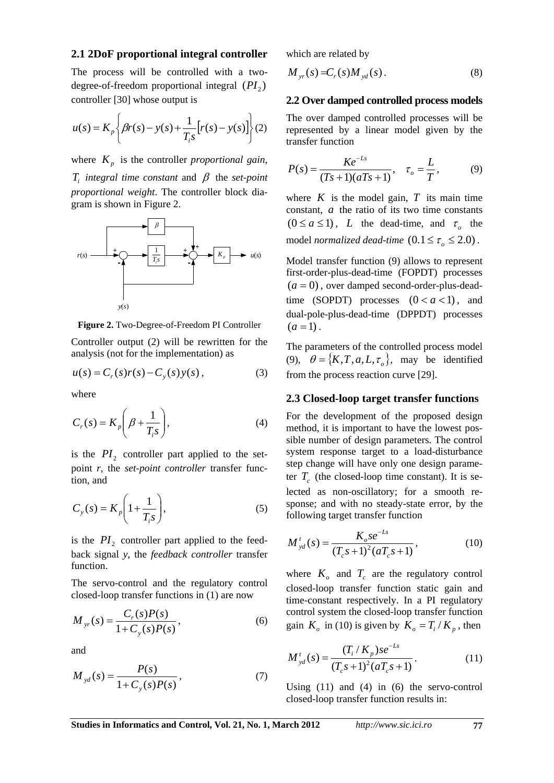#### **2.1 2DoF proportional integral controller**

The process will be controlled with a twodegree-of-freedom proportional integral  $(PI_2)$ controller [30] whose output is

$$
u(s) = K_p \left\{ \beta r(s) - y(s) + \frac{1}{T_i s} \left[ r(s) - y(s) \right] \right\} (2)
$$

where  $K_p$  is the controller *proportional gain*,  $T_i$  *integral time constant* and  $\beta$  the *set-point proportional weight*. The controller block diagram is shown in Figure 2.



**Figure 2.** Two-Degree-of-Freedom PI Controller

Controller output (2) will be rewritten for the analysis (not for the implementation) as

$$
u(s) = C_r(s)r(s) - C_y(s)y(s),
$$
 (3)

where

$$
C_r(s) = K_p \left( \beta + \frac{1}{T_i s} \right),\tag{4}
$$

is the  $PI_2$  controller part applied to the setpoint *r*, the *set-point controller* transfer function, and

$$
C_{y}(s) = K_{p} \left( 1 + \frac{1}{T_{i}s} \right), \tag{5}
$$

is the  $PI_2$  controller part applied to the feedback signal *y*, the *feedback controller* transfer function.

The servo-control and the regulatory control closed-loop transfer functions in (1) are now

$$
M_{yr}(s) = \frac{C_r(s)P(s)}{1 + C_y(s)P(s)},
$$
\n(6)

and

$$
M_{yd}(s) = \frac{P(s)}{1 + C_{y}(s)P(s)},
$$
\n(7)

which are related by

$$
M_{yr}(s) = C_r(s) M_{yd}(s).
$$
 (8)

#### **2.2 Over damped controlled process models**

The over damped controlled processes will be represented by a linear model given by the transfer function

$$
P(s) = \frac{Ke^{-Ls}}{(Ts+1)(aTs+1)}, \quad \tau_o = \frac{L}{T},
$$
 (9)

where  $K$  is the model gain,  $T$  its main time constant, *a* the ratio of its two time constants  $(0 \le a \le 1)$ , *L* the dead-time, and  $\tau_{\rho}$  the model *normalized dead-time*  $(0.1 \leq \tau_{o} \leq 2.0)$ .

Model transfer function (9) allows to represent first-order-plus-dead-time (FOPDT) processes  $(a = 0)$ , over damped second-order-plus-deadtime (SOPDT) processes  $(0 < a < 1)$ , and dual-pole-plus-dead-time (DPPDT) processes  $(a=1)$ .

The parameters of the controlled process model (9),  $\theta = \{K, T, a, L, \tau_{\rho}\}\)$ , may be identified from the process reaction curve [29].

#### **2.3 Closed-loop target transfer functions**

For the development of the proposed design method, it is important to have the lowest possible number of design parameters. The control system response target to a load-disturbance step change will have only one design parameter  $T_c$  (the closed-loop time constant). It is selected as non-oscillatory; for a smooth response; and with no steady-state error, by the following target transfer function

$$
M_{yd}^{t}(s) = \frac{K_{o}se^{-Ls}}{(T_{c}s + 1)^{2}(aT_{c}s + 1)},
$$
\n(10)

where  $K<sub>o</sub>$  and  $T<sub>c</sub>$  are the regulatory control closed-loop transfer function static gain and time-constant respectively. In a PI regulatory control system the closed-loop transfer function gain  $K_a$  in (10) is given by  $K_a = T_i/K_p$ , then

$$
M_{yd}^{t}(s) = \frac{(T_i/K_p)se^{-Ls}}{(T_c s + 1)^2 (aT_c s + 1)}.
$$
 (11)

Using (11) and (4) in (6) the servo-control closed-loop transfer function results in: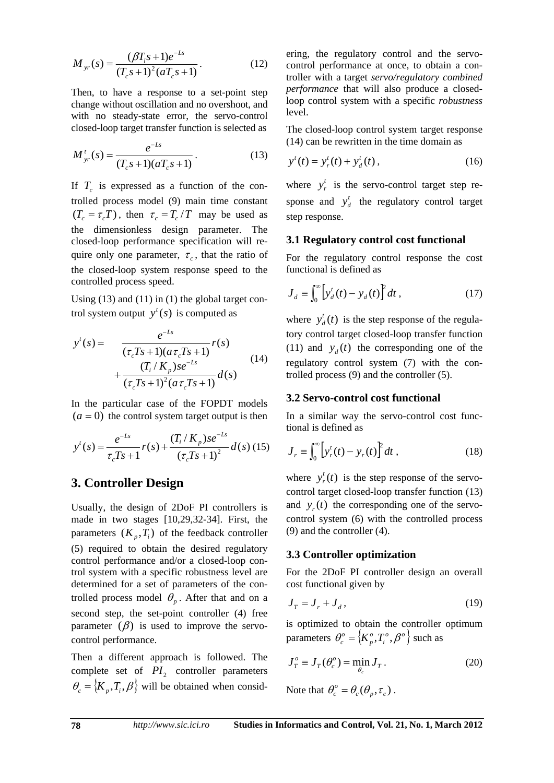$$
M_{yr}(s) = \frac{(\beta T_i s + 1)e^{-Ls}}{(T_c s + 1)^2 (aT_c s + 1)}.
$$
 (12)

Then, to have a response to a set-point step change without oscillation and no overshoot, and with no steady-state error, the servo-control closed-loop target transfer function is selected as

$$
M_{yr}^{t}(s) = \frac{e^{-Ls}}{(T_c s + 1)(aT_c s + 1)}.
$$
\n(13)

If  $T_c$  is expressed as a function of the controlled process model (9) main time constant  $(T_c = \tau_c T)$ , then  $\tau_c = T_c/T$  may be used as the dimensionless design parameter. The closed-loop performance specification will require only one parameter,  $\tau_c$ , that the ratio of the closed-loop system response speed to the controlled process speed.

Using (13) and (11) in (1) the global target control system output  $y^{t}(s)$  is computed as

$$
y'(s) = \frac{e^{-Ls}}{(\tau_c Ts + 1)(a \tau_c Ts + 1)} r(s)
$$
  
+ 
$$
\frac{(T_i/K_p)se^{-Ls}}{(\tau_c Ts + 1)^2(a \tau_c Ts + 1)} d(s)
$$
 (14)

In the particular case of the FOPDT models  $(a = 0)$  the control system target output is then

$$
y'(s) = \frac{e^{-Ls}}{\tau_c Ts + 1} r(s) + \frac{(T_i/K_p)se^{-Ls}}{(\tau_c Ts + 1)^2} d(s) (15)
$$

### **3. Controller Design**

Usually, the design of 2DoF PI controllers is made in two stages [10,29,32-34]. First, the parameters  $(K_n, T_i)$  of the feedback controller (5) required to obtain the desired regulatory control performance and/or a closed-loop control system with a specific robustness level are determined for a set of parameters of the controlled process model  $\theta$ <sub>*p*</sub>. After that and on a second step, the set-point controller (4) free parameter  $(\beta)$  is used to improve the servocontrol performance.

Then a different approach is followed. The complete set of  $PI_2$  controller parameters  $\theta_c = \{K_p, T_i, \beta\}$  will be obtained when considering, the regulatory control and the servocontrol performance at once, to obtain a controller with a target *servo/regulatory combined performance* that will also produce a closedloop control system with a specific *robustness* level.

The closed-loop control system target response (14) can be rewritten in the time domain as

$$
y^{t}(t) = y_{r}^{t}(t) + y_{d}^{t}(t),
$$
\n(16)

where  $y_r^t$  is the servo-control target step response and  $y_d^t$  the regulatory control target step response.

#### **3.1 Regulatory control cost functional**

For the regulatory control response the cost functional is defined as

$$
J_d = \int_0^\infty \left[ y_d^t(t) - y_d(t) \right]^2 dt , \qquad (17)
$$

where  $y_d^t(t)$  is the step response of the regulatory control target closed-loop transfer function (11) and  $y_d(t)$  the corresponding one of the regulatory control system (7) with the controlled process (9) and the controller (5).

#### **3.2 Servo-control cost functional**

In a similar way the servo-control cost functional is defined as

$$
J_r \equiv \int_0^\infty \left[ y_r^t(t) - y_r(t) \right]^2 dt \,, \tag{18}
$$

where  $y_r^t(t)$  is the step response of the servocontrol target closed-loop transfer function (13) and  $y_r(t)$  the corresponding one of the servocontrol system (6) with the controlled process (9) and the controller (4).

#### **3.3 Controller optimization**

For the 2DoF PI controller design an overall cost functional given by

$$
J_T = J_r + J_d, \qquad (19)
$$

is optimized to obtain the controller optimum parameters  $\theta_c^o = \left\{K_p^o, T_i^o, \beta^o\right\}$ *o*  $\theta_c^o = \left\{ K_p^o, T_i^o, \beta^o \right\}$  such as

$$
J_T^o \equiv J_T(\theta_c^o) = \min_{\theta_c} J_T. \tag{20}
$$

Note that  $\theta_c^o = \theta_c(\theta_p, \tau_c)$ .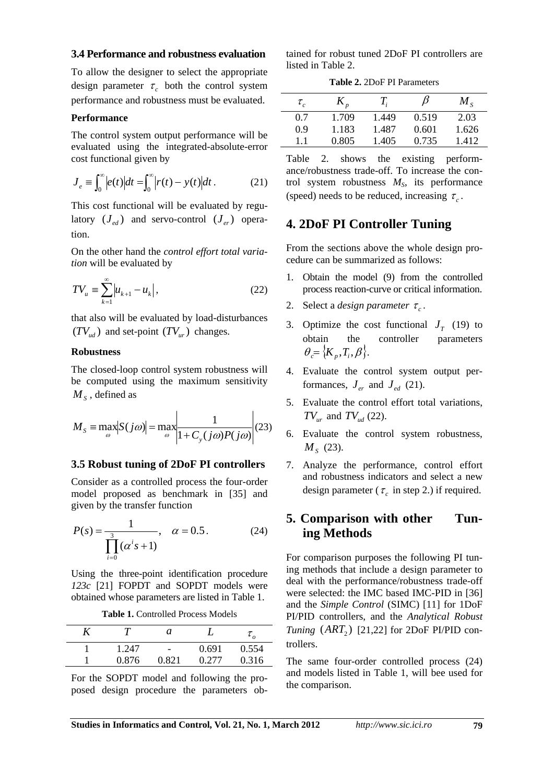#### **3.4 Performance and robustness evaluation**

To allow the designer to select the appropriate design parameter  $\tau_c$  both the control system performance and robustness must be evaluated.

#### **Performance**

The control system output performance will be evaluated using the integrated-absolute-error cost functional given by

$$
J_e \equiv \int_0^\infty \left| e(t) \right| dt = \int_0^\infty \left| r(t) - y(t) \right| dt \,. \tag{21}
$$

This cost functional will be evaluated by regulatory  $(J_{ad})$  and servo-control  $(J_{ac})$  operation.

On the other hand the *control effort total variation* will be evaluated by

$$
TV_{u} \equiv \sum_{k=1}^{\infty} |u_{k+1} - u_{k}|,
$$
 (22)

that also will be evaluated by load-disturbances  $(TV_{ud})$  and set-point  $(TV_{ur})$  changes.

#### **Robustness**

The closed-loop control system robustness will be computed using the maximum sensitivity  $M<sub>S</sub>$ , defined as

$$
M_{S} = \max_{\omega} |S(j\omega)| = \max_{\omega} \left| \frac{1}{1 + C_{y}(j\omega)P(j\omega)} \right| (23)
$$

#### **3.5 Robust tuning of 2DoF PI controllers**

Consider as a controlled process the four-order model proposed as benchmark in [35] and given by the transfer function

$$
P(s) = \frac{1}{\prod_{i=0}^{3} (\alpha^{i} s + 1)}, \quad \alpha = 0.5.
$$
 (24)

Using the three-point identification procedure *123c* [21] FOPDT and SOPDT models were obtained whose parameters are listed in Table 1.

**Table 1.** Controlled Process Models

|       | а                        |       |       |
|-------|--------------------------|-------|-------|
| 1.247 | $\overline{\phantom{a}}$ | 0.691 | 0.554 |
| 0.876 | 0.821                    | 0.277 | 0.316 |

For the SOPDT model and following the proposed design procedure the parameters obtained for robust tuned 2DoF PI controllers are listed in Table 2.

**Table 2.** 2DoF PI Parameters

| $\tau_{c}$ |       | T,    | β     | $M_{\rm c}$ |
|------------|-------|-------|-------|-------------|
| 0.7        | 1.709 | 1.449 | 0.519 | 2.03        |
| 0.9        | 1.183 | 1.487 | 0.601 | 1.626       |
| 1.1        | 0.805 | 1.405 | 0.735 | 1.412       |

Table 2. shows the existing performance/robustness trade-off. To increase the control system robustness  $M<sub>S</sub>$ , its performance (speed) needs to be reduced, increasing  $\tau_c$ .

#### **4. 2DoF PI Controller Tuning**

From the sections above the whole design procedure can be summarized as follows:

- 1. Obtain the model (9) from the controlled process reaction-curve or critical information.
- 2. Select a *design parameter*  $\tau_c$ .
- 3. Optimize the cost functional  $J<sub>T</sub>$  (19) to obtain the controller parameters  $\theta = \{K_{n}, T_{i}, \beta\}.$
- 4. Evaluate the control system output performances,  $J_{er}$  and  $J_{ed}$  (21).
- 5. Evaluate the control effort total variations,  $TV_{ur}$  and  $TV_{ud}$  (22).
- 6. Evaluate the control system robustness, *M<sub>s</sub>* (23).
- 7. Analyze the performance, control effort and robustness indicators and select a new design parameter ( $\tau_c$  in step 2.) if required.

## **5. Comparison with other Tuning Methods**

For comparison purposes the following PI tuning methods that include a design parameter to deal with the performance/robustness trade-off were selected: the IMC based IMC-PID in [36] and the *Simple Control* (SIMC) [11] for 1DoF PI/PID controllers, and the *Analytical Robust Tuning*  $(ART<sub>2</sub>)$  [21,22] for 2DoF PI/PID controllers.

The same four-order controlled process (24) and models listed in Table 1, will bee used for the comparison.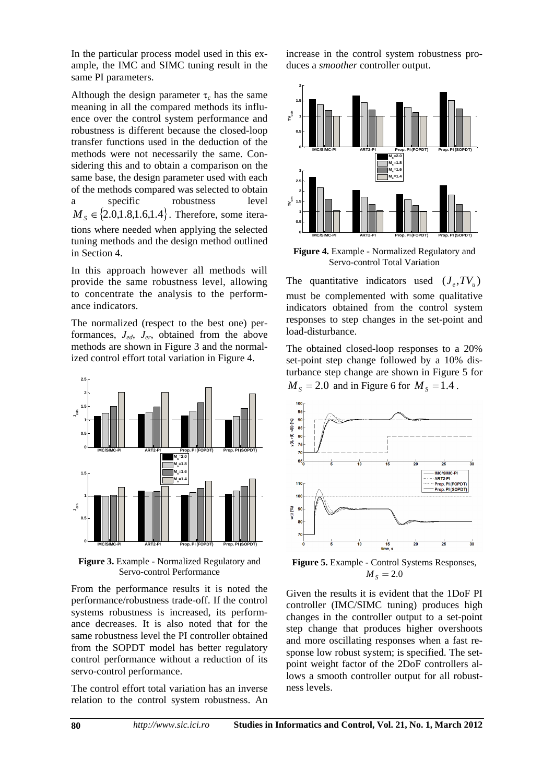In the particular process model used in this example, the IMC and SIMC tuning result in the same PI parameters.

Although the design parameter  $\tau_c$  has the same meaning in all the compared methods its influence over the control system performance and robustness is different because the closed-loop transfer functions used in the deduction of the methods were not necessarily the same. Considering this and to obtain a comparison on the same base, the design parameter used with each of the methods compared was selected to obtain a specific robustness level  $M_{\rm s} \in \{2.0, 1.8, 1.6, 1.4\}$ . Therefore, some iterations where needed when applying the selected tuning methods and the design method outlined in Section 4.

In this approach however all methods will provide the same robustness level, allowing to concentrate the analysis to the performance indicators.

The normalized (respect to the best one) performances, *Jed*, *Jer*, obtained from the above methods are shown in Figure 3 and the normalized control effort total variation in Figure 4.



**Figure 3.** Example - Normalized Regulatory and Servo-control Performance

From the performance results it is noted the performance/robustness trade-off. If the control systems robustness is increased, its performance decreases. It is also noted that for the same robustness level the PI controller obtained from the SOPDT model has better regulatory control performance without a reduction of its servo-control performance.

The control effort total variation has an inverse relation to the control system robustness. An increase in the control system robustness produces a *smoother* controller output.



**Figure 4.** Example - Normalized Regulatory and Servo-control Total Variation

The quantitative indicators used  $(J_e, TV_u)$ must be complemented with some qualitative indicators obtained from the control system responses to step changes in the set-point and load-disturbance.

The obtained closed-loop responses to a 20% set-point step change followed by a 10% disturbance step change are shown in Figure 5 for  $M<sub>s</sub> = 2.0$  and in Figure 6 for  $M<sub>s</sub> = 1.4$ .



**Figure 5.** Example - Control Systems Responses,  $M_{\rm s} = 2.0$ 

Given the results it is evident that the 1DoF PI controller (IMC/SIMC tuning) produces high changes in the controller output to a set-point step change that produces higher overshoots and more oscillating responses when a fast response low robust system; is specified. The setpoint weight factor of the 2DoF controllers allows a smooth controller output for all robustness levels.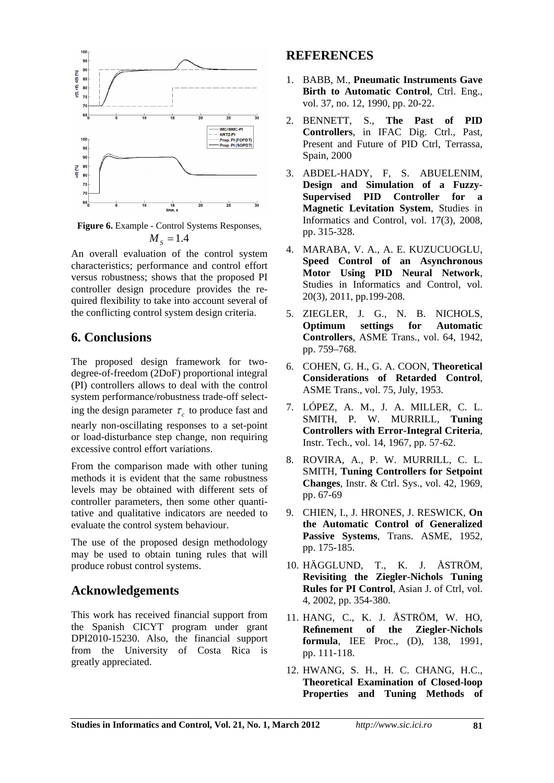

**Figure 6.** Example - Control Systems Responses,  $M<sub>s</sub> = 1.4$ 

An overall evaluation of the control system characteristics; performance and control effort versus robustness; shows that the proposed PI controller design procedure provides the required flexibility to take into account several of the conflicting control system design criteria.

## **6. Conclusions**

The proposed design framework for twodegree-of-freedom (2DoF) proportional integral (PI) controllers allows to deal with the control system performance/robustness trade-off selecting the design parameter  $\tau_c$  to produce fast and

nearly non-oscillating responses to a set-point or load-disturbance step change, non requiring excessive control effort variations.

From the comparison made with other tuning methods it is evident that the same robustness levels may be obtained with different sets of controller parameters, then some other quantitative and qualitative indicators are needed to evaluate the control system behaviour.

The use of the proposed design methodology may be used to obtain tuning rules that will produce robust control systems.

## **Acknowledgements**

This work has received financial support from the Spanish CICYT program under grant DPI2010-15230. Also, the financial support from the University of Costa Rica is greatly appreciated.

## **REFERENCES**

- 1. BABB, M., **Pneumatic Instruments Gave Birth to Automatic Control.** Ctrl. Eng., vol. 37, no. 12, 1990, pp. 20-22.
- 2. BENNETT, S., **The Past of PID Controllers**, in IFAC Dig. Ctrl., Past, Present and Future of PID Ctrl, Terrassa, Spain, 2000
- 3. ABDEL-HADY, F, S. ABUELENIM, **Design and Simulation of a Fuzzy-Supervised PID Controller for a Magnetic Levitation System**, Studies in Informatics and Control, vol. 17(3), 2008, pp. 315-328.
- 4. MARABA, V. A., A. E. KUZUCUOGLU, **Speed Control of an Asynchronous Motor Using PID Neural Network**, Studies in Informatics and Control, vol. 20(3), 2011, pp.199-208.
- 5. ZIEGLER, J. G., N. B. NICHOLS, **Optimum settings for Automatic Controllers**, ASME Trans., vol. 64, 1942, pp. 759–768.
- 6. COHEN, G. H., G. A. COON, **Theoretical Considerations of Retarded Control**, ASME Trans., vol. 75, July, 1953.
- 7. LÓPEZ, A. M., J. A. MILLER, C. L. SMITH, P. W. MURRILL, **Tuning Controllers with Error-Integral Criteria**, Instr. Tech., vol. 14, 1967, pp. 57-62.
- 8. ROVIRA, A., P. W. MURRILL, C. L. SMITH, **Tuning Controllers for Setpoint Changes**, Instr. & Ctrl. Sys., vol. 42, 1969, pp. 67-69
- 9. CHIEN, I., J. HRONES, J. RESWICK, **On the Automatic Control of Generalized Passive Systems**, Trans. ASME, 1952, pp. 175-185.
- 10. HÄGGLUND, T., K. J. ÅSTRÖM, **Revisiting the Ziegler-Nichols Tuning Rules for PI Control**, Asian J. of Ctrl, vol. 4, 2002, pp. 354-380.
- 11. HANG, C., K. J. ÅSTRÖM, W. HO, **Refinement of the Ziegler-Nichols formula**, IEE Proc., (D), 138, 1991, pp. 111-118.
- 12. HWANG, S. H., H. C. CHANG, H.C., **Theoretical Examination of Closed-loop Properties and Tuning Methods of**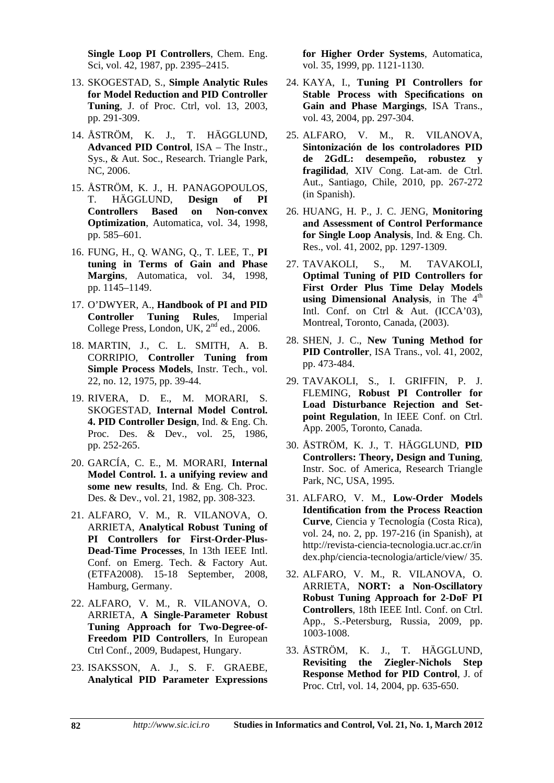**Single Loop PI Controllers**, Chem. Eng. Sci, vol. 42, 1987, pp. 2395–2415.

- 13. SKOGESTAD, S., **Simple Analytic Rules for Model Reduction and PID Controller Tuning**, J. of Proc. Ctrl, vol. 13, 2003, pp. 291-309.
- 14. ÅSTRÖM, K. J., T. HÄGGLUND, **Advanced PID Control**, ISA – The Instr., Sys., & Aut. Soc., Research. Triangle Park, NC, 2006.
- 15. ÅSTRÖM, K. J., H. PANAGOPOULOS, T. HÄGGLUND, **Design of PI Controllers Based on Non-convex Optimization**, Automatica, vol. 34, 1998, pp. 585–601.
- 16. FUNG, H., Q. WANG, Q., T. LEE, T., **PI tuning in Terms of Gain and Phase Margins**, Automatica, vol. 34, 1998, pp. 1145–1149.
- 17. O'DWYER, A., **Handbook of PI and PID Controller Tuning Rules**, Imperial College Press, London, UK, 2<sup>nd</sup> ed., 2006.
- 18. MARTIN, J., C. L. SMITH, A. B. CORRIPIO, **Controller Tuning from Simple Process Models**, Instr. Tech., vol. 22, no. 12, 1975, pp. 39-44.
- 19. RIVERA, D. E., M. MORARI, S. SKOGESTAD, **Internal Model Control. 4. PID Controller Design**, Ind. & Eng. Ch. Proc. Des. & Dev., vol. 25, 1986, pp. 252-265.
- 20. GARCÍA, C. E., M. MORARI, **Internal Model Control. 1. a unifying review and some new results**, Ind. & Eng. Ch. Proc. Des. & Dev., vol. 21, 1982, pp. 308-323.
- 21. ALFARO, V. M., R. VILANOVA, O. ARRIETA, **Analytical Robust Tuning of PI Controllers for First-Order-Plus-Dead-Time Processes**, In 13th IEEE Intl. Conf. on Emerg. Tech. & Factory Aut. (ETFA2008). 15-18 September, 2008, Hamburg, Germany.
- 22. ALFARO, V. M., R. VILANOVA, O. ARRIETA, **A Single-Parameter Robust Tuning Approach for Two-Degree-of-Freedom PID Controllers**, In European Ctrl Conf., 2009, Budapest, Hungary.
- 23. ISAKSSON, A. J., S. F. GRAEBE, **Analytical PID Parameter Expressions**

**for Higher Order Systems**, Automatica, vol. 35, 1999, pp. 1121-1130.

- 24. KAYA, I., **Tuning PI Controllers for**  Stable Process with Specifications on **Gain and Phase Margings**, ISA Trans., vol. 43, 2004, pp. 297-304.
- 25. ALFARO, V. M., R. VILANOVA, **Sintonización de los controladores PID de 2GdL: desempeño, robustez y fragilidad**, XIV Cong. Lat-am. de Ctrl. Aut., Santiago, Chile, 2010, pp. 267-272 (in Spanish).
- 26. HUANG, H. P., J. C. JENG, **Monitoring and Assessment of Control Performance for Single Loop Analysis**, Ind. & Eng. Ch. Res., vol. 41, 2002, pp. 1297-1309.
- 27. TAVAKOLI, S., M. TAVAKOLI, **Optimal Tuning of PID Controllers for First Order Plus Time Delay Models**  using Dimensional Analysis, in The 4<sup>th</sup> Intl. Conf. on Ctrl & Aut. (ICCA'03), Montreal, Toronto, Canada, (2003).
- 28. SHEN, J. C., **New Tuning Method for PID Controller**, ISA Trans., vol. 41, 2002, pp. 473-484.
- 29. TAVAKOLI, S., I. GRIFFIN, P. J. FLEMING, **Robust PI Controller for Load Disturbance Rejection and Setpoint Regulation**, In IEEE Conf. on Ctrl. App. 2005, Toronto, Canada.
- 30. ÅSTRÖM, K. J., T. HÄGGLUND, **PID Controllers: Theory, Design and Tuning**, Instr. Soc. of America, Research Triangle Park, NC, USA, 1995.
- 31. ALFARO, V. M., **Low-Order Models Identification from the Process Reaction Curve**, Ciencia y Tecnología (Costa Rica), vol. 24, no. 2, pp. 197-216 (in Spanish), at http://revista-ciencia-tecnologia.ucr.ac.cr/in dex.php/ciencia-tecnologia/article/view/ 35.
- 32. ALFARO, V. M., R. VILANOVA, O. ARRIETA, **NORT: a Non-Oscillatory Robust Tuning Approach for 2-DoF PI Controllers**, 18th IEEE Intl. Conf. on Ctrl. App., S.-Petersburg, Russia, 2009, pp. 1003-1008.
- 33. ÅSTRÖM, K. J., T. HÄGGLUND, **Revisiting the Ziegler-Nichols Step Response Method for PID Control**, J. of Proc. Ctrl, vol. 14, 2004, pp. 635-650.